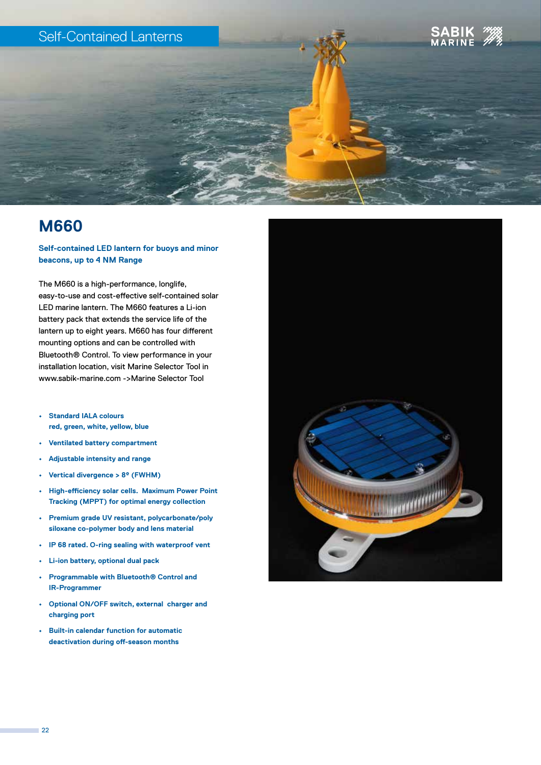# Self-Contained Lanterns





**Self-contained LED lantern for buoys and minor beacons, up to 4 NM Range**

The M660 is a high-performance, longlife, easy-to-use and cost-effective self-contained solar LED marine lantern. The M660 features a Li-ion battery pack that extends the service life of the lantern up to eight years. M660 has four different mounting options and can be controlled with Bluetooth® Control. To view performance in your installation location, visit Marine Selector Tool in www.sabik-marine.com ->Marine Selector Tool

- **• Standard IALA colours red, green, white, yellow, blue**
- **• Ventilated battery compartment**
- **• Adjustable intensity and range**
- **• Vertical divergence > 8º (FWHM)**
- **• High-efficiency solar cells. Maximum Power Point Tracking (MPPT) for optimal energy collection**
- **• Premium grade UV resistant, polycarbonate/poly siloxane co-polymer body and lens material**
- **• IP 68 rated. O-ring sealing with waterproof vent**
- **• Li-ion battery, optional dual pack**
- **• Programmable with Bluetooth® Control and IR-Programmer**
- **• Optional ON/OFF switch, external charger and charging port**
- **• Built-in calendar function for automatic deactivation during off-season months**